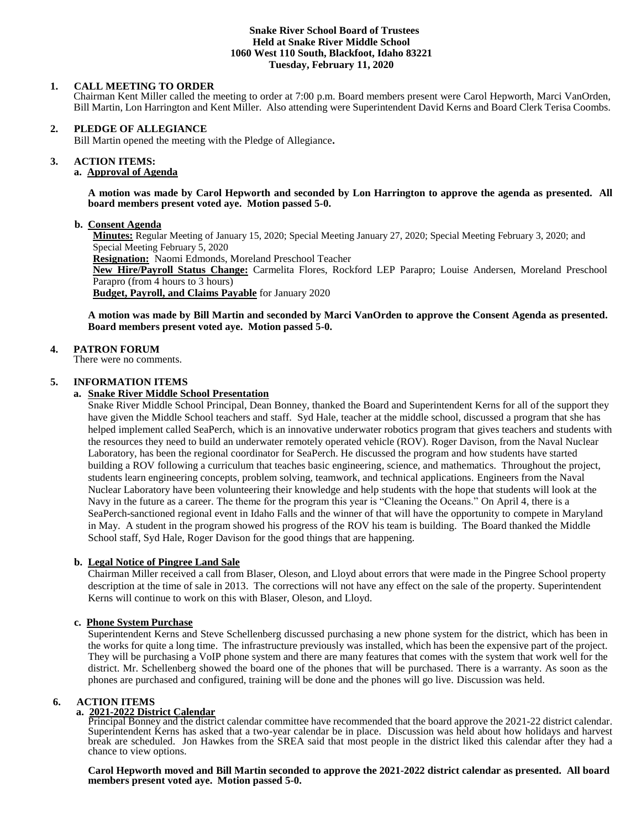## **Snake River School Board of Trustees Held at Snake River Middle School 1060 West 110 South, Blackfoot, Idaho 83221 Tuesday, February 11, 2020**

# **1. CALL MEETING TO ORDER**

Chairman Kent Miller called the meeting to order at 7:00 p.m. Board members present were Carol Hepworth, Marci VanOrden, Bill Martin, Lon Harrington and Kent Miller. Also attending were Superintendent David Kerns and Board Clerk Terisa Coombs.

## **2. PLEDGE OF ALLEGIANCE**

Bill Martin opened the meeting with the Pledge of Allegiance**.** 

#### **3. ACTION ITEMS:**

## **a. Approval of Agenda**

**A motion was made by Carol Hepworth and seconded by Lon Harrington to approve the agenda as presented. All board members present voted aye. Motion passed 5-0.**

## **b. Consent Agenda**

**Minutes:** Regular Meeting of January 15, 2020; Special Meeting January 27, 2020; Special Meeting February 3, 2020; and Special Meeting February 5, 2020

**Resignation:** Naomi Edmonds, Moreland Preschool Teacher

**New Hire/Payroll Status Change:** Carmelita Flores, Rockford LEP Parapro; Louise Andersen, Moreland Preschool Parapro (from 4 hours to 3 hours)

**Budget, Payroll, and Claims Payable** for January 2020

## **A motion was made by Bill Martin and seconded by Marci VanOrden to approve the Consent Agenda as presented. Board members present voted aye. Motion passed 5-0.**

## **4. PATRON FORUM**

There were no comments.

## **5. INFORMATION ITEMS**

## **a. Snake River Middle School Presentation**

Snake River Middle School Principal, Dean Bonney, thanked the Board and Superintendent Kerns for all of the support they have given the Middle School teachers and staff. Syd Hale, teacher at the middle school, discussed a program that she has helped implement called SeaPerch, which is an innovative underwater robotics program that gives teachers and students with the resources they need to build an underwater remotely operated vehicle (ROV). Roger Davison, from the Naval Nuclear Laboratory, has been the regional coordinator for SeaPerch. He discussed the program and how students have started building a ROV following a curriculum that teaches basic engineering, science, and mathematics. Throughout the project, students learn engineering concepts, problem solving, teamwork, and technical applications. Engineers from the Naval Nuclear Laboratory have been volunteering their knowledge and help students with the hope that students will look at the Navy in the future as a career. The theme for the program this year is "Cleaning the Oceans." On April 4, there is a SeaPerch-sanctioned regional event in Idaho Falls and the winner of that will have the opportunity to compete in Maryland in May. A student in the program showed his progress of the ROV his team is building. The Board thanked the Middle School staff, Syd Hale, Roger Davison for the good things that are happening.

## **b. Legal Notice of Pingree Land Sale**

Chairman Miller received a call from Blaser, Oleson, and Lloyd about errors that were made in the Pingree School property description at the time of sale in 2013. The corrections will not have any effect on the sale of the property. Superintendent Kerns will continue to work on this with Blaser, Oleson, and Lloyd.

## **c. Phone System Purchase**

Superintendent Kerns and Steve Schellenberg discussed purchasing a new phone system for the district, which has been in the works for quite a long time. The infrastructure previously was installed, which has been the expensive part of the project. They will be purchasing a VoIP phone system and there are many features that comes with the system that work well for the district. Mr. Schellenberg showed the board one of the phones that will be purchased. There is a warranty. As soon as the phones are purchased and configured, training will be done and the phones will go live. Discussion was held.

## **6. ACTION ITEMS**

# **a. 2021-2022 District Calendar**

Principal Bonney and the district calendar committee have recommended that the board approve the 2021-22 district calendar. Superintendent Kerns has asked that a two-year calendar be in place. Discussion was held about how holidays and harvest break are scheduled. Jon Hawkes from the SREA said that most people in the district liked this calendar after they had a chance to view options.

**Carol Hepworth moved and Bill Martin seconded to approve the 2021-2022 district calendar as presented. All board members present voted aye. Motion passed 5-0.**